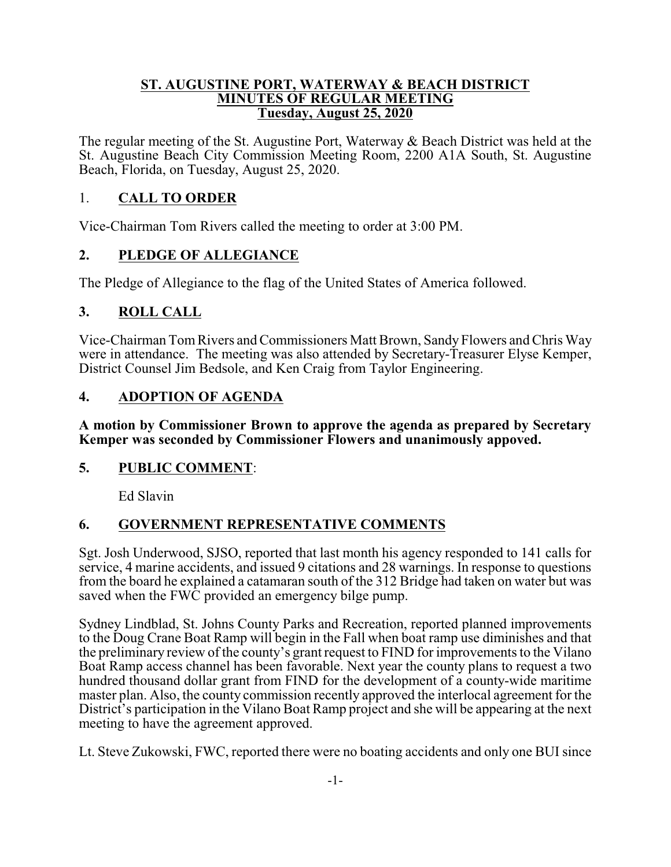#### **ST. AUGUSTINE PORT, WATERWAY & BEACH DISTRICT MINUTES OF REGULAR MEETING Tuesday, August 25, 2020**

The regular meeting of the St. Augustine Port, Waterway & Beach District was held at the St. Augustine Beach City Commission Meeting Room, 2200 A1A South, St. Augustine Beach, Florida, on Tuesday, August 25, 2020.

#### 1. **CALL TO ORDER**

Vice-Chairman Tom Rivers called the meeting to order at 3:00 PM.

## **2. PLEDGE OF ALLEGIANCE**

The Pledge of Allegiance to the flag of the United States of America followed.

## **3. ROLL CALL**

Vice-Chairman TomRivers and Commissioners Matt Brown, SandyFlowers and Chris Way were in attendance. The meeting was also attended by Secretary-Treasurer Elyse Kemper, District Counsel Jim Bedsole, and Ken Craig from Taylor Engineering.

## **4. ADOPTION OF AGENDA**

**A motion by Commissioner Brown to approve the agenda as prepared by Secretary Kemper was seconded by Commissioner Flowers and unanimously appoved.**

#### **5. PUBLIC COMMENT**:

Ed Slavin

#### **6. GOVERNMENT REPRESENTATIVE COMMENTS**

Sgt. Josh Underwood, SJSO, reported that last month his agency responded to 141 calls for service, 4 marine accidents, and issued 9 citations and 28 warnings. In response to questions from the board he explained a catamaran south of the 312 Bridge had taken on water but was saved when the FWC provided an emergency bilge pump.

Sydney Lindblad, St. Johns County Parks and Recreation, reported planned improvements to the Doug Crane Boat Ramp will begin in the Fall when boat ramp use diminishes and that the preliminary review of the county's grant request to FIND for improvements to the Vilano Boat Ramp access channel has been favorable. Next year the county plans to request a two hundred thousand dollar grant from FIND for the development of a county-wide maritime master plan. Also, the county commission recently approved the interlocal agreement for the District's participation in the Vilano Boat Ramp project and she will be appearing at the next meeting to have the agreement approved.

Lt. Steve Zukowski, FWC, reported there were no boating accidents and only one BUI since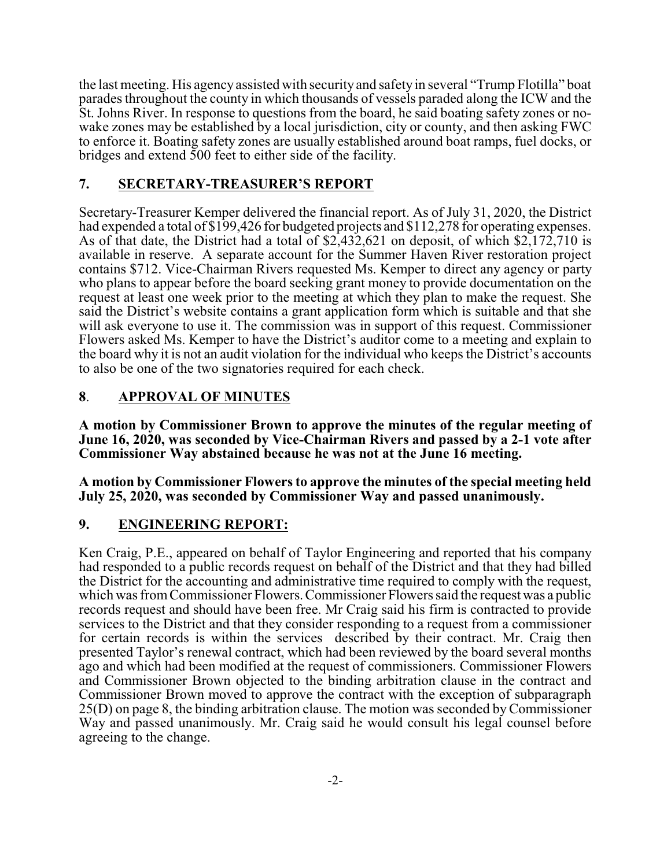the last meeting. His agencyassisted with security and safety in several "Trump Flotilla" boat parades throughout the county in which thousands of vessels paraded along the ICW and the St. Johns River. In response to questions from the board, he said boating safety zones or nowake zones may be established by a local jurisdiction, city or county, and then asking FWC to enforce it. Boating safety zones are usually established around boat ramps, fuel docks, or bridges and extend 500 feet to either side of the facility.

#### **7. SECRETARY-TREASURER'S REPORT**

Secretary-Treasurer Kemper delivered the financial report. As of July 31, 2020, the District had expended a total of \$199,426 for budgeted projects and \$112,278 for operating expenses. As of that date, the District had a total of \$2,432,621 on deposit, of which \$2,172,710 is available in reserve. A separate account for the Summer Haven River restoration project contains \$712. Vice-Chairman Rivers requested Ms. Kemper to direct any agency or party who plans to appear before the board seeking grant money to provide documentation on the request at least one week prior to the meeting at which they plan to make the request. She said the District's website contains a grant application form which is suitable and that she will ask everyone to use it. The commission was in support of this request. Commissioner Flowers asked Ms. Kemper to have the District's auditor come to a meeting and explain to the board why it is not an audit violation for the individual who keeps the District's accounts to also be one of the two signatories required for each check.

## **8**. **APPROVAL OF MINUTES**

**A motion by Commissioner Brown to approve the minutes of the regular meeting of June 16, 2020, was seconded by Vice-Chairman Rivers and passed by a 2-1 vote after Commissioner Way abstained because he was not at the June 16 meeting.**

**A motion by Commissioner Flowers to approve the minutes of the special meeting held July 25, 2020, was seconded by Commissioner Way and passed unanimously.**

#### **9. ENGINEERING REPORT:**

Ken Craig, P.E., appeared on behalf of Taylor Engineering and reported that his company had responded to a public records request on behalf of the District and that they had billed the District for the accounting and administrative time required to comply with the request, which was from Commissioner Flowers. Commissioner Flowers said the request was a public records request and should have been free. Mr Craig said his firm is contracted to provide services to the District and that they consider responding to a request from a commissioner for certain records is within the services described by their contract. Mr. Craig then presented Taylor's renewal contract, which had been reviewed by the board several months ago and which had been modified at the request of commissioners. Commissioner Flowers and Commissioner Brown objected to the binding arbitration clause in the contract and Commissioner Brown moved to approve the contract with the exception of subparagraph 25(D) on page 8, the binding arbitration clause. The motion was seconded byCommissioner Way and passed unanimously. Mr. Craig said he would consult his legal counsel before agreeing to the change.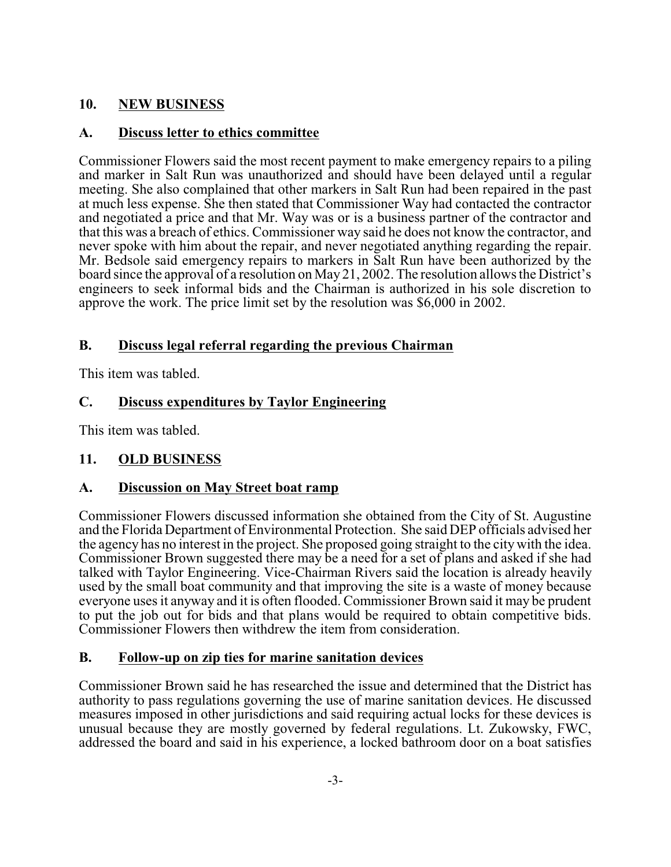## **10. NEW BUSINESS**

#### **A. Discuss letter to ethics committee**

Commissioner Flowers said the most recent payment to make emergency repairs to a piling and marker in Salt Run was unauthorized and should have been delayed until a regular meeting. She also complained that other markers in Salt Run had been repaired in the past at much less expense. She then stated that Commissioner Way had contacted the contractor and negotiated a price and that Mr. Way was or is a business partner of the contractor and that this was a breach of ethics. Commissioner way said he does not know the contractor, and never spoke with him about the repair, and never negotiated anything regarding the repair. Mr. Bedsole said emergency repairs to markers in Salt Run have been authorized by the board since the approval of a resolution on May 21, 2002. The resolution allows the District's engineers to seek informal bids and the Chairman is authorized in his sole discretion to approve the work. The price limit set by the resolution was \$6,000 in 2002.

## **B. Discuss legal referral regarding the previous Chairman**

This item was tabled.

# **C. Discuss expenditures by Taylor Engineering**

This item was tabled.

# **11. OLD BUSINESS**

# **A. Discussion on May Street boat ramp**

Commissioner Flowers discussed information she obtained from the City of St. Augustine and the Florida Department of Environmental Protection. She said DEP officials advised her the agency has no interest in the project. She proposed going straight to the city with the idea. Commissioner Brown suggested there may be a need for a set of plans and asked if she had talked with Taylor Engineering. Vice-Chairman Rivers said the location is already heavily used by the small boat community and that improving the site is a waste of money because everyone uses it anyway and it is often flooded. Commissioner Brown said it may be prudent to put the job out for bids and that plans would be required to obtain competitive bids. Commissioner Flowers then withdrew the item from consideration.

#### **B. Follow-up on zip ties for marine sanitation devices**

Commissioner Brown said he has researched the issue and determined that the District has authority to pass regulations governing the use of marine sanitation devices. He discussed measures imposed in other jurisdictions and said requiring actual locks for these devices is unusual because they are mostly governed by federal regulations. Lt. Zukowsky, FWC, addressed the board and said in his experience, a locked bathroom door on a boat satisfies